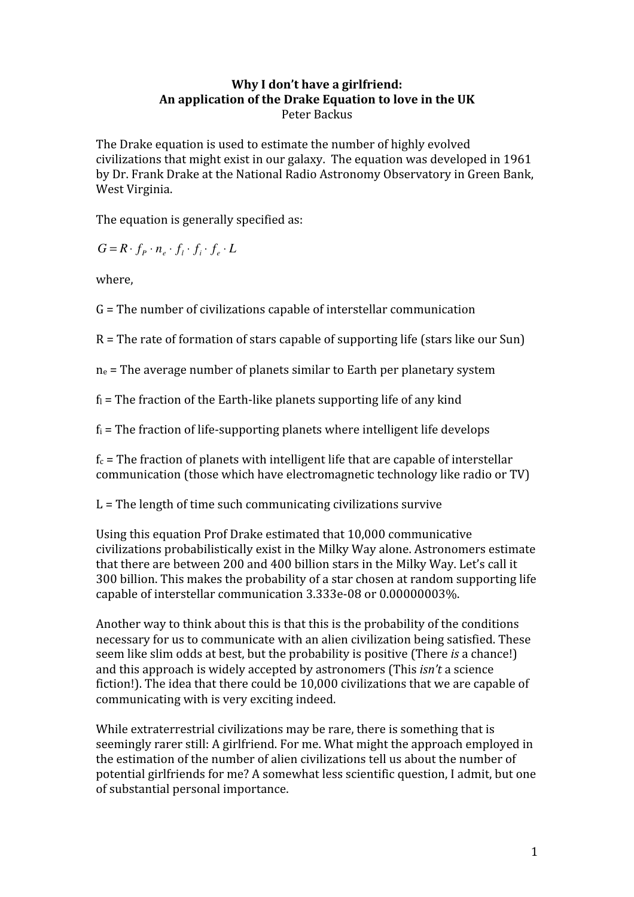# **Why
I
don't
have
a
girlfriend: An
application
of
the
Drake
Equation
to
love
in
the
UK** Peter
Backus

The
Drake
equation
is
used
to
estimate
the
number
of
highly
evolved civilizations
that
might
exist
in
our
galaxy.

The
equation
was
developed
in
1961 by
Dr.
Frank
Drake
at
the
National
Radio
Astronomy
Observatory
in
Green
Bank, West
Virginia.

The
equation
is
generally
specified
as:

 $G = R \cdot f_p \cdot n_e \cdot f_i \cdot f_i \cdot f_e \cdot L$ 

where,

G
=
The
number
of
civilizations
capable
of
interstellar
communication

 $R$  = The rate of formation of stars capable of supporting life (stars like our Sun)

 $n_e$  = The average number of planets similar to Earth per planetary system

 $f_1$  = The fraction of the Earth-like planets supporting life of any kind

 $f_i$  = The fraction of life-supporting planets where intelligent life develops

 $f_c$  = The fraction of planets with intelligent life that are capable of interstellar communication
(those
which
have
electromagnetic
technology
like
radio
or
TV)

L = The length of time such communicating civilizations survive

Using
this
equation
Prof
Drake estimated
that
10,000
communicative civilizations
probabilistically
exist
in
the
Milky
Way
alone.
Astronomers
estimate that there are between 200 and 400 billion stars in the Milky Way. Let's call it 300 billion. This makes the probability of a star chosen at random supporting life capable
of
interstellar
communication 3.333e‐08
or
0.00000003%.

Another way to think about this is that this is the probability of the conditions necessary
for
us
to
communicate
with
an
alien
civilization
being
satisfied.
These seem like slim odds at best, but the probability is positive (There *is* a chance!) and
this
approach
is
widely
accepted
by
astronomers
(This *isn't*a
science fiction!). The idea that there could be 10,000 civilizations that we are capable of communicating
with
is
very
exciting
indeed.

While extraterrestrial civilizations may be rare, there is something that is seemingly
rarer
still:
A
girlfriend.
For
me.
What
might
the
approach
employed
in the
estimation
of
the
number
of
alien
civilizations
tell
us
about
the
number
of potential
girlfriends
for
me?
A
somewhat
less
scientific
question,
I
admit,
but
one of
substantial
personal
importance.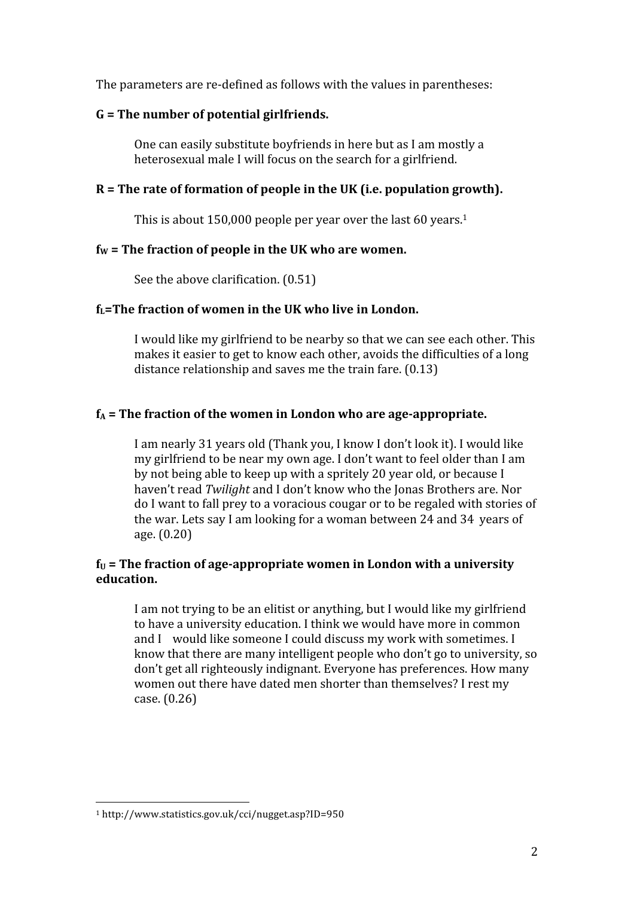The parameters are re-defined as follows with the values in parentheses:

### **G
=
The
number
of
potential
girlfriends.**

One can easily substitute boyfriends in here but as I am mostly a heterosexual
male
I
will
focus
on
the
search
for
a
girlfriend.

## R = The rate of formation of people in the UK (i.e. population growth).

This is about 150,000 people per year over the last 60 years.<sup>1</sup>

### $f_W$  = The fraction of people in the UK who are women.

See
the
above
clarification.
(0.51)

#### f<sub>L</sub>=The fraction of women in the UK who live in London.

I
would
like
my
girlfriend
to
be
nearby
so
that
we
can
see
each
other.
This makes
it
easier
to
get
to
know
each
other,
avoids
the
difficulties
of
a
long distance relationship and saves me the train fare. (0.13)

#### $f_A$  = The fraction of the women in London who are age-appropriate.

I
am
nearly
31
years
old
(Thank
you,
I
know
I
don't
look
it).
I
would
like my
girlfriend
to
be
near
my
own
age.
I
don't
want
to
feel
older
than
I
am by not being able to keep up with a spritely 20 year old, or because I haven't read *Twilight* and I don't know who the Jonas Brothers are. Nor do
I
want
to
fall
prey
to
a
voracious
cougar
or
to
be
regaled
with
stories
of the
war.
Lets
say
I
am
looking
for
a
woman
between
24
and
34 years
of age.
(0.20)

### $f_U$  = The fraction of age-appropriate women in London with a university **education.**

I am not trying to be an elitist or anything, but I would like my girlfriend to have a university education. I think we would have more in common and I would like someone I could discuss my work with sometimes. I know that there are many intelligent people who don't go to university, so don't
get
all
righteously
indignant.
Everyone
has
preferences. How
many women out there have dated men shorter than themselves? I rest my case.
(0.26)

<sup>1</sup>http://www.statistics.gov.uk/cci/nugget.asp?ID=950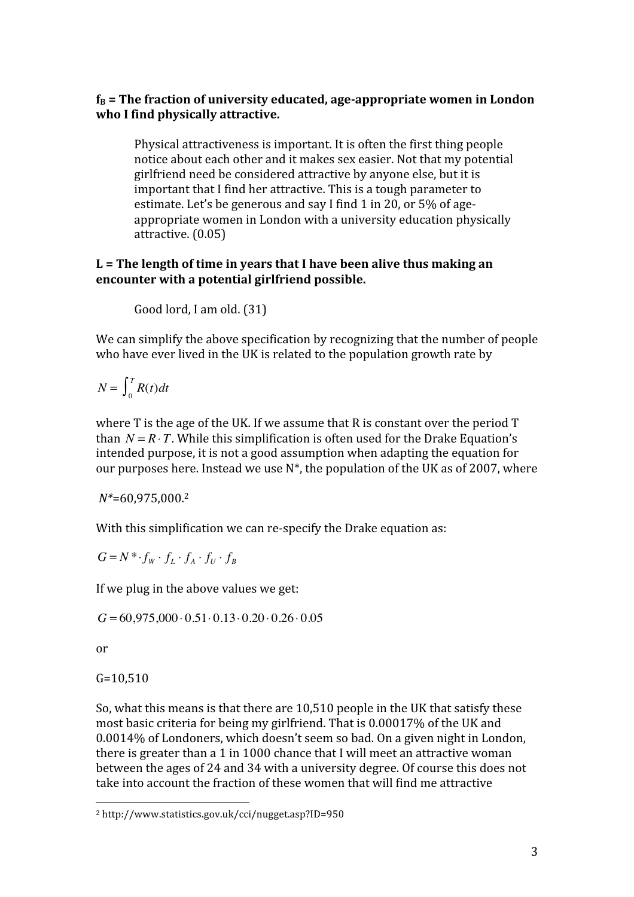## $f_B$  = The fraction of university educated, age-appropriate women in London **who
I
find
physically
attractive.**

Physical
attractiveness
is
important.
It
is
often
the
first
thing
people notice
about
each
other
and
it
makes
sex
easier.
Not
that
my
potential girlfriend
need
be
considered
attractive
by
anyone
else,
but
it
is important that I find her attractive. This is a tough parameter to estimate. Let's be generous and say I find 1 in 20, or 5% of ageappropriate
women
in
London
with
a
university
education
physically attractive.
(0.05)

# L = The length of time in years that I have been alive thus making an **encounter
with
a
potential
girlfriend
possible.**

Good
lord,
I
am
old.
(31)

We can simplify the above specification by recognizing that the number of people who have ever lived in the UK is related to the population growth rate by

 $N = \int_0^1 R(t) dt$  $\int_0^T$ 

where T is the age of the UK. If we assume that R is constant over the period T than  $N = R \cdot T$ . While this simplification is often used for the Drake Equation's intended
purpose,
it
is
not
a
good
assumption
when
adapting
the
equation
for our purposes here. Instead we use  $N^*$ , the population of the UK as of 2007, where

*N\**=60,975,000. 2

With this simplification we can re-specify the Drake equation as:

 $G = N^* \cdot f_W \cdot f_L \cdot f_A \cdot f_U \cdot f_B$ 

If
we
plug
in
the
above
values
we
get:

 $G = 60,975,000 \cdot 0.51 \cdot 0.13 \cdot 0.20 \cdot 0.26 \cdot 0.05$ 

or

G=10,510

So, what this means is that there are 10,510 people in the UK that satisfy these most
basic
criteria
for
being
my
girlfriend.
That
is
0.00017%
of
the
UK
and 0.0014%
of
Londoners,
which
doesn't
seem
so
bad.
On
a
given
night
in
London, there
is
greater
than
a
1
in
1000
chance
that
I
will
meet
an
attractive
woman between
the
ages
of
24
and
34
with
a
university
degree.
Of
course
this
does
not take
into
account
the
fraction
of
these
women
that
will
find
me
attractive

<sup>2</sup>http://www.statistics.gov.uk/cci/nugget.asp?ID=950